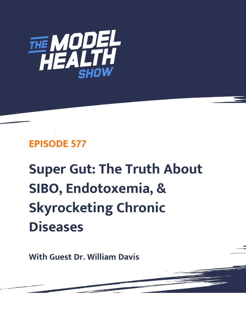

## **EPISODE 577**

## **Super Gut: The Truth About SIBO, Endotoxemia, & Skyrocketing Chronic Diseases**

**With Guest Dr. William Davis**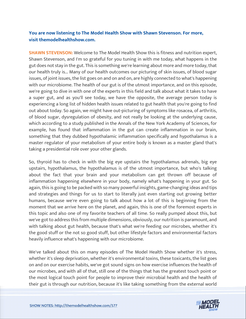## **You are now listening to The Model Health Show with Shawn Stevenson. For more, visit themodelhealthshow.com.**

**SHAWN STEVENSON:** Welcome to The Model Health Show this is fitness and nutrition expert, Shawn Stevenson, and I'm so grateful for you tuning in with me today, what happens in the gut does not stay in the gut. This is something we're learning about more and more today, that our health truly is... Many of our health outcomes our picturing of skin issues, of blood sugar issues, of joint issues, the list goes on and on and on, are highly connected to what's happening with our microbiome. The health of our gut is of the utmost importance, and on this episode, we're going to dive in with one of the experts in this field and talk about what it takes to have a super gut, and as you'll see today, we have the opposite, the average person today is experiencing a long list of hidden health issues related to gut health that you're going to find out about today. So again, we might have out-picturing of symptoms like rosacea, of arthritis, of blood sugar, dysregulation of obesity, and not really be looking at the underlying cause, which according to a study published in the Annals of the New York Academy of Sciences, for example, has found that inflammation in the gut can create inflammation in our brain, something that they dubbed hypothalamic inflammation specifically and hypothalamus is a master regulator of your metabolism of your entire body is known as a master gland that's taking a presidential role over your other glands.

So, thyroid has to check in with the big eye upstairs the hypothalamus adrenals, big eye upstairs, hypothalamus, the hypothalamus is of the utmost importance, but who's talking about the fact that your brain and your metabolism can get thrown off because of inflammation happening elsewhere in your body, namely what's happening in your gut. So again, this is going to be packed with so many powerful insights, game-changing ideas and tips and strategies and things for us to start to literally just even starting out growing better humans, because we're even going to talk about how a lot of this is beginning from the moment that we arrive here on the planet, and again, this is one of the foremost experts in this topic and also one of my favorite teachers of all time. So really pumped about this, but we've got to address this from multiple dimensions, obviously, our nutrition is paramount, and with talking about gut health, because that's what we're feeding our microbes, whether it's the good stuff or the not so good stuff, but other lifestyle factors and environmental factors heavily influence what's happening with our microbiome.

We've talked about this on many episodes of The Model Health Show whether it's stress, whether it's sleep deprivation, whether it's environmental toxins, these toxicants, the list goes on and on our exercise habits, we've got sound signs on how exercise influences the health of our microbes, and with all of that, still one of the things that has the greatest touch point or the most logical touch point for people to improve their microbial health and the health of [their gut is through our nutrition, because it](https://themodelhealthshow.com/dr-william-davis/)'[s like taking something from the external world](https://themodelhealthshow.com/dr-william-davis/) 

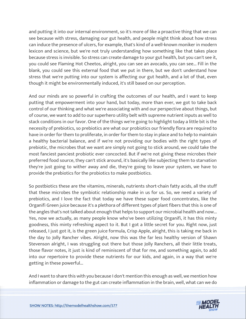and putting it into our internal environment, so it's more of like a proactive thing that we can see because with stress, damaging our gut health, and people might think about how stress can induce the presence of ulcers, for example, that's kind of a well-known moniker in modern lexicon and science, but we're not truly understanding how something like that takes place because stress is invisible. So stress can create damage to your gut health, but you can't see it, you could see Flaming Hot Cheetos, alright, you can see an avocado, you can see... Fill in the blank, you could see this external food that we put in there, but we don't understand how stress that we're putting into our system is affecting our gut health, and a lot of that, even though it might be environmentally induced, it's still based on our perception.

And our minds are so powerful in crafting the outcomes of our health, and I want to keep putting that empowerment into your hand, but today, more than ever, we got to take back control of our thinking and what we're associating with and our perspective about things, but of course, we want to add to our superhero utility belt with supreme nutrient inputs as well to stack conditions in our favor. One of the things we're going to highlight today a little bit is the necessity of prebiotics, so prebiotics are what our probiotics our friendly flora are required to have in order for them to proliferate, in order for them to stay in place and to help to maintain a healthy bacterial balance, and if we're not providing our bodies with the right types of prebiotic, the microbes that we want are simply not going to stick around, we could take the most fanciest panciest probiotic ever concocted. But if we're not giving these microbes their preferred food source, they can't stick around, it's basically like subjecting them to starvation they're just going to wither away and die, they're going to leave your system, we have to provide the prebiotics for the probiotics to make postbiotics.

So postbiotics these are the vitamins, minerals, nutrients short-chain fatty acids, all the stuff that these microbes the symbiotic relationship make in us for us. So, we need a variety of prebiotics, and I love the fact that today we have these super food concentrates, like the Organifi Green juice because it's a plethora of different types of plant fibers that this is one of the angles that's not talked about enough that helps to support our microbial health and now... Yes, now we actually, as many people know who've been utilizing Organifi, it has this minty goodness, this minty refreshing aspect to it. But I got a little secret for you. Right now, just released, I just got it, is the green juice formula, Crisp Apple, alright, this is taking me back in the day to Jolly Rancher vibes. Alright, now this was the far less healthy version of Shawn Stevenson alright, I was struggling out there but those Jolly Ranchers, all their little treats, those flavor notes, it just is kind of reminiscent of that for me, and something again, to add into our repertoire to provide these nutrients for our kids, and again, in a way that we're getting in these powerful...

And I want to share this with you because I don't mention this enough as well, we mention how inflammation or damage to the gut can create inflammation in the brain, well, what can we do

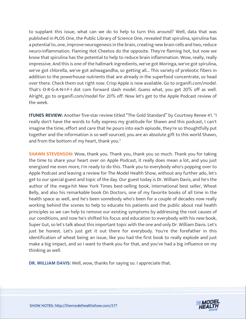to supplant this issue, what can we do to help to turn this around? Well, data that was published in PLOS One, the Public Library of Science One, revealed that spirulina, spirulina has a potential to, one, improve neurogenesis in the brain, creating new brain cells and two, reduce neuro-inflammation. Flaming Hot Cheetos do the opposite. They're flaming hot, but now we know that spirulina has the potential to help to reduce brain inflammation. Wow, really, really impressive. And this is one of the hallmark ingredients, we've got Moringa, we've got spirulina, we've got chlorella, we've got ashwagandha, so getting all... This variety of prebiotic fibers in addition to the powerhouse nutrients that are already in the superfood concentrate, so head over there. Check them out right now. Crisp Apple is now available. Go to organifi.com/model. That's O-R-G-A-N-I-F-I dot com forward slash model. Guess what, you get 20% off as well. Alright, go to organifi.com/model for 20% off. Now let's get to the Apple Podcast review of the week.

**ITUNES REVIEW:** Another five-star review titled "The Gold Standard" by Courtney Renee 41. "I really don't have the words to fully express my gratitude for Shawn and this podcast, I can't imagine the time, effort and care that he pours into each episode, they're so thoughtfully put together and the information is so well sourced, you are an absolute gift to this world Shawn, and from the bottom of my heart, thank you."

**SHAWN STEVENSON:** Wow, thank you. Thank you, thank you so much. Thank you for taking the time to share your heart over on Apple Podcast, it really does mean a lot, and you just energized me even more, I'm ready to do this. Thank you to everybody who's popping over to Apple Podcast and leaving a review for The Model Health Show, without any further ado, let's get to our special guest and topic of the day. Our guest today is Dr. William Davis, and he's the author of the mega-hit New York Times best-selling book, international best seller, Wheat Belly, and also his remarkable book On Doctors, one of my favorite books of all time in the health space as well, and he's been somebody who's been for a couple of decades now really working behind the scenes to help to educate his patients and the public about real health principles so we can help to remove our existing symptoms by addressing the root causes of our conditions, and now he's shifted his focus and education to everybody with his new book, Super Gut, so let's talk about this important topic with the one and only Dr. William Davis. Let's just be honest. Let's just get it out there for everybody. You're the forefather in this identification of wheat being an issue, like you had the first book to really explode and just make a big impact, and so I want to thank you for that, and you've had a big influence on my thinking as well.

**DR. WILLIAM DAVIS:** Well, wow, thanks for saying so. I appreciate that.

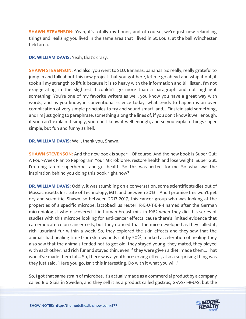**SHAWN STEVENSON:** Yeah, it's totally my honor, and of course, we're just now rekindling things and realizing you lived in the same area that I lived in St. Louis, at the ball Winchester field area.

**DR. WILLIAM DAVIS:** Yeah, that's crazy.

**SHAWN STEVENSON:** And also, you went to SLU. Bananas, bananas. So really, really grateful to jump in and talk about this new project that you got here, let me go ahead and whip it out, it took all my strength to lift it because it is so heavy with the information and Bill listen, I'm not exaggerating in the slightest, I couldn't go more than a paragraph and not highlight something. You're one of my favorite writers as well, you know you have a great way with words, and as you know, in conventional science today, what tends to happen is an over complication of very simple principles to try and sound smart, and... Einstein said something, and I'm just going to paraphrase, something along the lines of, if you don't know it well enough, if you can't explain it simply, you don't know it well enough, and so you explain things super simple, but fun and funny as hell.

**DR. WILLIAM DAVIS:** Well, thank you, Shawn.

**SHAWN STEVENSON:** And the new book is super... Of course. And the new book is Super Gut: A Four-Week Plan to Reprogram Your Microbiome, restore health and lose weight. Super Gut, I'm a big fan of superheroes and gut health. So, this was perfect for me. So, what was the inspiration behind you doing this book right now?

**DR. WILLIAM DAVIS:** Oddly, it was stumbling on a conversation, some scientific studies out of Massachusetts Institute of Technology, MIT, and between 2013... And I promise this won't get dry and scientific, Shawn, so between 2013-2017, this cancer group who was looking at the properties of a specific microbe, lactobacillus reuteri R-E-U-T-E-R-I named after the German microbiologist who discovered it in human breast milk in 1962 when they did this series of studies with this microbe looking for anti-cancer effects 'cause there's limited evidence that can eradicate colon cancer cells, but they noticed that the mice developed as they called it, rich luxuriant fur within a week. So, they explored the skin effects and they saw that the animals had healing time from skin wounds cut by 50%, marked acceleration of healing they also saw that the animals tended not to get old, they stayed young, they mated, they played with each other, had rich fur and stayed thin, even if they were given a diet, made them... That would've made them fat... So, there was a youth preserving effect, also a surprising thing was they just said, "Here you go, Isn't this interesting. Do with it what you will."

So, I got that same strain of microbes, it's actually made as a commercial product by a company called Bio Giaia in Sweden, and they sell it as a product called gastrus, G-A-S-T-R-U-S, but the

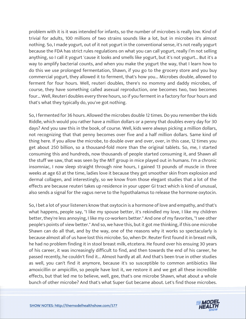problem with it is it was intended for infants, so the number of microbes is really low. Kind of trivial for adults, 100 millions of two strains sounds like a lot, but in microbes it's almost nothing. So, I made yogurt, out of it not yogurt in the conventional sense, it's not really yogurt because the FDA has strict rules regulations on what you can call yogurt, really I'm not selling anything, so I call it yogurt 'cause it looks and smells like yogurt, but it's not yogurt... But it's a way to amplify bacterial counts, and when you make the yogurt the way, that I learn how to do this we use prolonged fermentation, Shawn, if you go to the grocery store and you buy commercial yogurt, they allowed it to ferment, that's how you... Microbes double, allowed to ferment for four hours. Well, reuteri doubles, there's no mommy and daddy microbes, of course, they have something called asexual reproduction, one becomes two, two becomes four... Well, Reuteri doubles every three hours, so if you ferment in a factory for four hours and that's what they typically do, you've got nothing.

So, I fermented for 36 hours. Allowed the microbes double 12 times. Do you remember the kids Riddle, which would you rather have a million dollars or a penny that doubles every day for 30 days? And you saw this in the book, of course. Well, kids were always picking a million dollars, not recognizing that that penny becomes over five and a half million dollars. Same kind of thing here. If you allow the microbe, to double over and over, over, in this case, 12 times you get about 250 billion, so a thousand-fold more than the original tablets. So, me, I started consuming this and hundreds, now thousands of people started consuming it, and Shawn all the stuff we saw, that was seen by the MIT group in mice played out in humans. I'm a chronic insomniac, I now sleep straight through nine hours, I gained 13 pounds of muscle in three weeks at age 63 at the time, ladies love it because they get smoother skin from explosion and dermal collagen, and interestingly, so we know from those elegant studies that a lot of the effects are because reuteri takes up residence in your upper GI tract which is kind of unusual, also sends a signal for the vagus nerve to the hypothalamus to release the hormone oxytocin.

So, I bet a lot of your listeners know that oxytocin is a hormone of love and empathy, and that's what happens, people say, "I like my spouse better, it's rekindled my love, I like my children better, they're less annoying, I like my co-workers better." And one of my favorites, "I see other people's points of view better." And so, we have this, but it got me thinking, if this one microbe Shawn can do all that, and by the way, one of the reasons why it works so spectacularly is because almost all of us have lost this microbe. So, when Dr. Reuter first found it in breast milk, he had no problem finding it in stool breast milk, etcetera. He found over his ensuing 30 years of his career, it was increasingly difficult to find, and then towards the end of his career, he passed recently, he couldn't find it... Almost hardly at all. And that's been true in other studies as well, you can't find it anymore, because it's so susceptible to common antibiotics like amoxicillin or ampicillin, so people have lost it, we restore it and we get all these incredible effects, but that led me to believe, well, gee, that's one microbe Shawn, what about a whole bunch of other microbe? And that's what Super Gut became about. Let's find those microbes.

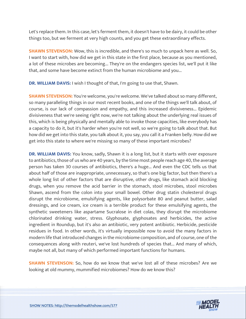Let's replace them. In this case, let's ferment them, it doesn't have to be dairy, it could be other things too, but we ferment at very high counts, and you get these extraordinary effects.

**SHAWN STEVENSON:** Wow, this is incredible, and there's so much to unpack here as well. So, I want to start with, how did we get in this state in the first place, because as you mentioned, a lot of these microbes are becoming... They're on the endangers species list, we'll put it like that, and some have become extinct from the human microbiome and you...

**DR. WILLIAM DAVIS:** I wish I thought of that, I'm going to use that, Shawn.

**SHAWN STEVENSON:** You're welcome, you're welcome. We've talked about so many different, so many paralleling things in our most recent books, and one of the things we'll talk about, of course, is our lack of compassion and empathy, and this increased divisiveness... Epidemic divisiveness that we're seeing right now, we're not talking about the underlying real issues of this, which is being physically and mentally able to invoke those capacities, like everybody has a capacity to do it, but it's harder when you're not well, so we're going to talk about that. But how did we get into this state, you talk about it, you say, you call it a Franken belly. How did we get into this state to where we're missing so many of these important microbes?

**DR. WILLIAM DAVIS:** You know, sadly, Shawn it is a long list, but it starts with over exposure to antibiotics, those of us who are 40 years, by the time most people reach age 40, the average person has taken 30 courses of antibiotics, there's a huge... And even the CDC tells us that about half of those are inappropriate, unnecessary, so that's one big factor, but then there's a whole long list of other factors that are disruptive, other drugs, like stomach acid blocking drugs, when you remove the acid barrier in the stomach, stool microbes, stool microbes Shawn, ascend from the colon into your small bowel. Other drug statin cholesterol drugs disrupt the microbiome, emulsifying agents, like polysorbate 80 and peanut butter, salad dressings, and ice cream, ice cream is a terrible product for these emulsifying agents, the synthetic sweeteners like aspartame Sucralose in diet colas, they disrupt the microbiome chlorinated drinking water, stress. Glyphosate, glyphosates and herbicides, the active ingredient in Roundup, but it's also an antibiotic, very potent antibiotic. Herbicide, pesticide residues in food. In other words, it's virtually impossible now to avoid the many factors in modern life that introduced changes in the microbiome composition, and of course, one of the consequences along with reuteri, we've lost hundreds of species that... And many of which, maybe not all, but many of which performed important functions for humans.

**SHAWN STEVENSON:** So, how do we know that we've lost all of these microbes? Are we looking at old mummy, mummified microbiomes? How do we know this?

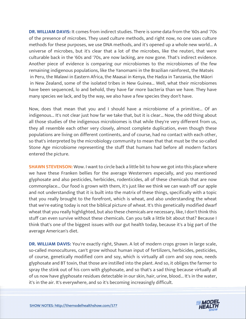**DR. WILLIAM DAVIS:** It comes from indirect studies. There is some data from the '60s and '70s of the presence of microbes. They used culture methods, and right now, no one uses culture methods for these purposes, we use DNA methods, and it's opened up a whole new world... A universe of microbes, but it's clear that a lot of the microbes, like the reuteri, that were culturable back in the '60s and '70s, are now lacking, are now gone. That's indirect evidence. Another piece of evidence is comparing our microbiomes to the microbiomes of the few remaining indigenous populations, like the Yanomami in the Brazilian rainforest, the Matsés in Peru, the Malawi in Eastern Africa, the Maasai in Kenya, the Hadza in Tanzania, the Māori in New Zealand, some of the isolated tribes in New Guinea... Well, what their microbiomes have been sequenced, lo and behold, they have far more bacteria than we have. They have many species we lack, and by the way, we also have a few species they don't have.

Now, does that mean that you and I should have a microbiome of a primitive... Of an indigenous... It's not clear just how far we take that, but it is clear... Now, the odd thing about all those studies of the indigenous microbiomes is that while they're very different from us, they all resemble each other very closely, almost complete duplication, even though these populations are living on different continents, and of course, had no contact with each other, so that's interpreted by the microbiology community to mean that that must be the so-called Stone Age microbiome representing the stuff that humans had before all modern factors entered the picture.

**SHAWN STEVENSON:** Wow. I want to circle back a little bit to how we got into this place where we have these Franken bellies for the average Westerners especially, and you mentioned glyphosate and also pesticides, herbicides, rodenticides, all of these chemicals that are now commonplace... Our food is grown with them, it's just like we think we can wash off our apple and not understanding that it is built into the matrix of these things, specifically with a topic that you really brought to the forefront, which is wheat, and also understanding the wheat that we're eating today is not the biblical picture of wheat. It's this genetically modified dwarf wheat that you really highlighted, but also these chemicals are necessary, like, I don't think this stuff can even survive without these chemicals. Can you talk a little bit about that? Because I think that's one of the biggest issues with our gut health today, because it's a big part of the average American's diet.

**DR. WILLIAM DAVIS:** You're exactly right, Shawn. A lot of modern crops grown in large scale, so-called monocultures, can't grow without human input of fertilizers, herbicides, pesticides, of course, genetically modified corn and soy, which is virtually all corn and soy now, needs glyphosate and BT toxin, that those are instilled into the plant. And so, it obliges the farmer to spray the stink out of his corn with glyphosate, and so that's a sad thing because virtually all of us now have glyphosate residues detectable in our skin, hair, urine, blood... It's in the water, it's in the air. It's everywhere, and so it's becoming increasingly difficult.

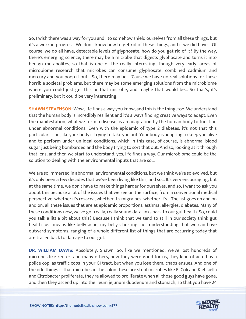So, I wish there was a way for you and I to somehow shield ourselves from all these things, but it's a work in progress. We don't know how to get rid of these things, and if we did have... Of course, we do all have, detectable levels of glyphosate, how do you get rid of it? By the way, there's emerging science, there may be a microbe that digests glyphosate and turns it into benign metabolites, so that is one of the really interesting, though very early, areas of microbiome research that microbes can consume glyphosate, combined cadmium and mercury and you poop it out... So, there may be... 'Cause we have no real solutions for these horrible societal problems, but there may be some emerging solutions from the microbiome where you could just get this or that microbe, and maybe that would be... So that's, it's preliminary, but it could be very interesting.

**SHAWN STEVENSON:** Wow, life finds a way you know, and this is the thing, too. We understand that the human body is incredibly resilient and it's always finding creative ways to adapt. Even the manifestation, what we term a disease, is an adaptation by the human body to function under abnormal conditions. Even with the epidemic of type 2 diabetes, it's not that this particular issue, like your body is trying to take you out. Your body is adapting to keep you alive and to perform under un-ideal conditions, which in this case, of course, is abnormal blood sugar just being bombarded and the body trying to sort that out. And so, looking at it through that lens, and then we start to understand, yes, life finds a way. Our microbiome could be the solution to dealing with the environmental inputs that are so...

We are so immersed in abnormal environmental conditions, but we think we're so evolved, but it's only been a few decades that we've been living like this, and so... It's very encouraging, but at the same time, we don't have to make things harder for ourselves, and so, I want to ask you about this because a lot of the issues that we see on the surface, from a conventional medical perspective, whether it's rosacea, whether it's migraines, whether it's... The list goes on and on and on, all these issues that are at epidemic proportions, asthma, allergies, diabetes. Many of these conditions now, we've got really, really sound data links back to our gut health. So, could you talk a little bit about this? Because I think that we tend to still in our society think gut health just means like belly ache, my belly's hurting, not understanding that we can have outward symptoms, ranging of a whole different list of things that are occurring today that are traced back to damage to our gut.

**DR. WILLIAM DAVIS:** Absolutely, Shawn. So, like we mentioned, we've lost hundreds of microbes like reuteri and many others, now they were good for us, they kind of acted as a police cop, as traffic cops in your GI tract, but when you lose them, chaos ensues. And one of the odd things is that microbes in the colon these are stool microbes like E. Coli and Klebsiella and Citrobacter proliferate, they're allowed to proliferate when all those good guys have gone, and then they ascend up into the ileum jejunum duodenum and stomach, so that you have 24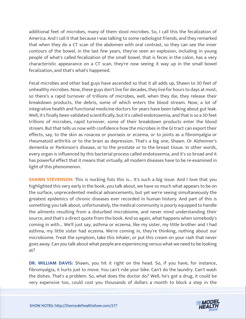additional feet of microbes, many of them stool microbes. So, I call this the fecalization of America. And I call it that because I was talking to some radiologist friends, and they remarked that when they do a CT scan of the abdomen with oral contrast, so they can see the inner contours of the bowel, in the last few years, they've seen an explosion, including in young people of what's called fecalization of the small bowel, that is feces in the colon, has a very characteristic appearance on a CT scan, they're now seeing it way up in the small bowel fecalization, and that's what's happened.

Fecal microbes and other bad guys have ascended so that it all adds up, Shawn to 30 feet of unhealthy microbes. Now, these guys don't live for decades, they live for hours to days at most, so there's a rapid turnover of trillions of microbes, well, when they die, they release their breakdown products, the debris, some of which enters the blood stream. Now, a lot of integrative health and functional medicine doctors for years have been talking about gut leak. Well, it's finally been validated scientifically, but it's called endotoxemia, and that is so a 30 feet trillions of microbes, rapid turnover, some of their breakdown products enter the blood stream. But that tells us now with confidence how the microbes in the GI tract can export their effects, say, to the skin as rosacea or psoriasis or eczema, or to joints as a fibromyalgia or rheumatoid arthritis or to the brain as depression. That's a big one, Shawn. Or Alzheimer's dementia or Parkinson's disease, or to the prostate or to the breast tissue. In other words, every organ is influenced by this bacterial process called endotoxemia, and it's so broad and it has powerful effect that it means that virtually, all modern diseases have to be re-examined in light of this phenomenon.

**SHAWN STEVENSON:** This is nucking futs this is... It's such a big issue. And I love that you highlighted this very early in the book, you talk about, we have so much what appears to be on the surface, unprecedented medical advancements, but yet we're seeing simultaneously the greatest epidemics of chronic diseases ever recorded in human history. And part of this is something you talk about, unfortunately, the medical community is poorly equipped to handle the ailments resulting from a disturbed microbiome, and never mind understanding their source, and that's a direct quote from the book. And so again, what happens when somebody's coming in with... We'll just say, asthma or eczema, like my sister, my little brother and I had asthma, my little sister had eczema. We're coming in, they're thinking, nothing about our microbiome. Treat the symptom, take this inhaler, or put this cream on your rash that never goes away. Can you talk about what people are experiencing versus what we need to be looking at?

**DR. WILLIAM DAVIS:** Shawn, you hit it right on the head. So, if you have, for instance, fibromyalgia, it hurts just to move. You can't ride your bike. Can't do the laundry. Can't wash the dishes. That's a problem. So, what does the doctor do? Well, he's got a drug, it could be very expensive too, could cost you thousands of dollars a month to block a step in the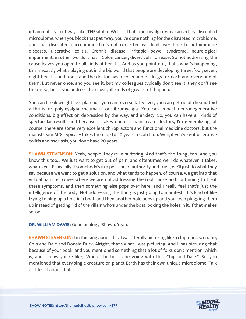inflammatory pathway, like TNF-alpha. Well, if that fibromyalgia was caused by disrupted microbiome, when you block that pathway, you've done nothing for the disrupted microbiome, and that disrupted microbiome that's not corrected will lead over time to autoimmune diseases, ulcerative colitis, Crohn's disease, irritable bowel syndrome, neurological impairment, in other words it has... Colon cancer, diverticular disease. So not addressing the cause leaves you open to all kinds of health... And as you point out, that's what's happening, this is exactly what's playing out in the big world that people are developing three, four, seven, eight health conditions, and the doctor has a collection of drugs for each and every one of them. But never once, and you see it, but my colleagues typically don't see it, they don't see the cause, but if you address the cause, all kinds of great stuff happen.

You can break weight loss plateaus, you can reverse fatty liver, you can get rid of rheumatoid arthritis or polymyalgia rheumatic or fibromyalgia. You can impact neurodegenerative conditions, big effect on depression by the way, and anxiety. So, you can have all kinds of spectacular results and because it takes doctors mainstream doctors, I'm generalizing, of course, there are some very excellent chiropractors and functional medicine doctors, but the mainstream MDs typically takes them up to 20 years to catch up. Well, if you've got ulcerative colitis and psoriasis, you don't have 20 years.

**SHAWN STEVENSON:** Yeah, people, they're in suffering. And that's the thing, too. And you know this too... We just want to get out of pain, and oftentimes we'll do whatever it takes, whatever... Especially if somebody's in a position of authority and trust, we'll just do what they say because we want to get a solution, and what tends to happen, of course, we get into that virtual hamster wheel where we are not addressing the root cause and continuing to treat these symptoms, and then something else pops over here, and I really feel that's just the intelligence of the body. Not addressing the thing is just going to manifest... It's kind of like trying to plug up a hole in a boat, and then another hole pops up and you keep plugging them up instead of getting rid of the villain who's under the boat, poking the holes in it. If that makes sense.

**DR. WILLIAM DAVIS:** Good analogy, Shawn. Yeah.

**SHAWN STEVENSON:** I'm thinking about this, I was literally picturing like a chipmunk scenario, Chip and Dale and Donald Duck. Alright, that's what I was picturing. And I was picturing that because of your book, and you mentioned something that a lot of folks don't mention, which is, and I know you're like, "Where the hell is he going with this, Chip and Dale?" So, you mentioned that every single creature on planet Earth has their own unique microbiome. Talk a little bit about that.

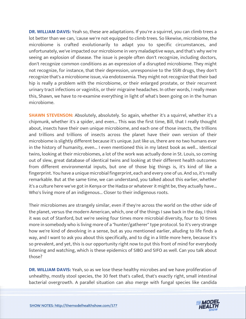**DR. WILLIAM DAVIS:** Yeah so, these are adaptations. If you're a squirrel, you can climb trees a lot better than we can, 'cause we're not equipped to climb trees. So likewise, microbiome, the microbiome is crafted evolutionarily to adapt you to specific circumstances, and unfortunately, we've impacted our microbiome in very maladaptive ways, and that's why we're seeing an explosion of disease. The issue is people often don't recognize, including doctors, don't recognize common conditions as an expression of a disrupted microbiome. They might not recognize, for instance, that their depression, unresponsive to the SSRI drugs, they don't recognize that's a microbiome issue, via endotoxemia. They might not recognize that their bad hip is really a problem with the microbiome, or their enlarged prostate, or their recurrent urinary tract infections or vaginitis, or their migraine headaches. In other words, I really mean this, Shawn, we have to re-examine everything in light of what's been going on in the human microbiome.

**SHAWN STEVENSON:** Absolutely, absolutely. So again, whether it's a squirrel, whether it's a chipmunk, whether it's a spider, and even... This was the first time, Bill, that I really thought about, insects have their own unique microbiome, and each one of those insects, the trillions and trillions and trillions of insects across the planet have their own version of their microbiome is slightly different because it's unique. Just like us, there are no two humans ever in the history of humanity, even... I even mentioned this in my latest book as well... Identical twins, looking at their microbiomes, a lot of the work was actually done in St. Louis, so coming out of slew, great database of identical twins and looking at their different health outcomes from different environmental inputs, but one of those big things is, it's kind of like a fingerprint. You have a unique microbial fingerprint, each and every one of us. And so, it's really remarkable. But at the same time, we can understand, you talked about this earlier, whether it's a culture here we've got in Kenya or the Hadza or whatever it might be, they actually have... Who's living more of an indigenous... Closer to their indigenous roots.

Their microbiomes are strangely similar, even if they're across the world on the other side of the planet, versus the modern American, which, one of the things I saw back in the day, I think it was out of Stanford, but we're seeing four times more microbial diversity, four to 10 times more in somebody who is living more of a "hunter/gatherer" type protocol. So it's very strange how we're kind of devolving in a sense, but as you mentioned earlier, alluding to life finds a way, and I want to ask you about this specifically, and to dig in a little more here, because it's so prevalent, and yet, this is our opportunity right now to put this front of mind for everybody listening and watching, which is these epidemics of SIBO and SIFO as well. Can you talk about those?

**DR. WILLIAM DAVIS:** Yeah, so as we lose these healthy microbes and we have proliferation of unhealthy, mostly stool species, the 30 feet that's called, that's exactly right, small intestinal bacterial overgrowth. A parallel situation can also merge with fungal species like candida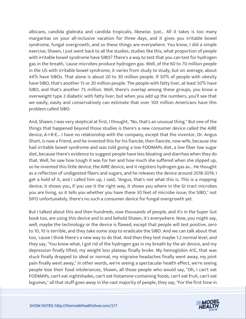albicans, candida glabrata and candida tropicalis, likewise. Just... All it takes is too many margaritas on your all-inclusive vacation for three days, and it gives you irritable bowel syndrome, fungal overgrowth, and so these things are everywhere. You know, I did a simple exercise, Shawn, I just went back to all the studies, studies like this, what proportion of people with irritable bowel syndrome have SIBO? There's a way to test that you can test for hydrogen gas in the breath, 'cause microbes produce hydrogen gas. Well, of the 60 to 70 million people in the US with irritable bowel syndrome, it varies from study to study, but on average, about 44% have SIBOs. That alone is about 20 to 30 million people. If 50% of people with obesity have SIBO, that's another 15 or 20 million people. The people with fatty liver, at least 50% have SIBO, and that's another 75 million. Well, there's overlap among these groups, you know a overweight type 2 diabetic with fatty liver, but when you add up the numbers, you'll see that we easily, easily and conservatively can estimate that over 100 million Americans have this problem called SIBO.

And, Shawn, I was very skeptical at first, I thought, "No, that's an unusual thing." But one of the things that happened beyond those studies is there's a new consumer device called the AIRE device, A-I-R-E... I have no relationship with the company, except that the inventor, Dr. Angus Short, is now a friend, and he invented this for his fiancée, then fiancée, now wife, because she had irritable bowel syndrome and was told going a low FODMAPs diet, a low fiber low sugar diet, because there's evidence to suggest people have less bloating and diarrhea when they do that. Well, he saw how tough it was for her and how much she suffered when she slipped up, so he invented this little device, the AIRE device, and it registers hydrogen gas as... He thought as a reflection of undigested fibers and sugars, and he releases the device around 2018-2019, I get a hold of it, and I called him up, I said, "Angus, that's not what this is. This is a mapping device, it shows you, if you use it the right way, it shows you where in the GI tract microbes you are living, so it tells you whether you have these 30 feet of microbe issue, the SIBO," not SIFO unfortunately, there's no such a consumer device for fungal overgrowth yet.

But I talked about this and then hundreds, now thousands of people, and it's in the Super Gut book too, are using this device and lo and behold Shawn, it's everywhere. Now, you might say, well, maybe the technology or the device is flawed, except that people will test positive, zero to 10, 10 is terrible, and they take some step to eradicate the SIBO. And we can talk about that too, 'cause I think there's a new way to do that. And then they test maybe 1.2 normal level, and they say, "You know what, I got rid of the hydrogen gas in my breath by the air device, and my depression finally lifted, my weight loss plateau finally broke. My hemoglobin A1C, that was stuck finally dropped to ideal or normal, my migraine headaches finally went away, my joint pain finally went away," in other words, we're seeing a spectacular health effect, we're seeing people lose their food intolerances, Shawn, all those people who would say, "Oh, I can't eat FODMAPs, can't eat nightshades, can't eat histamine-containing foods, can't eat fruit, can't eat legumes," all that stuff goes away in the vast majority of people, they say, "For the first time in

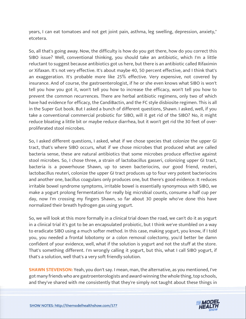years, I can eat tomatoes and not get joint pain, asthma, leg swelling, depression, anxiety," etcetera.

So, all that's going away. Now, the difficulty is how do you get there, how do you correct this SIBO issue? Well, conventional thinking, you should take an antibiotic, which I'm a little reluctant to suggest because antibiotics got us here, but there is an antibiotic called Rifaximin or Xifaxan. It's not very effective. It's about maybe 40, 50 percent effective, and I think that's an exaggeration. It's probable more like 25% effective. Very expensive, not covered by insurance. And of course, the gastroenterologist, if he or she even knows what SIBO is won't tell you how you got it, won't tell you how to increase the efficacy, won't tell you how to prevent the common recurrences. There are herbal antibiotic regimens, only two of which have had evidence for efficacy, the CandiBactin, and the FC style disbiosite regimen. This is all in the Super Gut book. But I asked a bunch of different questions, Shawn. I asked, well, if you take a conventional commercial probiotic for SIBO, will it get rid of the SIBO? No, it might reduce bloating a little bit or maybe reduce diarrhea, but it won't get rid the 30 feet of overproliferated stool microbes.

So, I asked different questions, I asked, what if we chose species that colonize the upper GI tract, that's where SIBO occurs, what if we chose microbes that produced what are called bacteria sense, these are natural antibiotics that some microbes produce effective against stool microbes. So, I chose three, a strain of lactobacillus gasseri, colonizing upper GI tract, bacteria is a powerhouse Shawn, up to seven bacteriocins, our good friend, reuteri, lactobacillus reuteri, colonize the upper GI tract produces up to four very potent bacteriocins and another one, bacillus coagulans only produces one, but there's good evidence. It reduces irritable bowel syndrome symptoms, irritable bowel is essentially synonymous with SIBO, we make a yogurt prolong fermentation for really big microbial counts, consume a half cup per day, now I'm crossing my fingers Shawn, so far about 30 people who've done this have normalized their breath hydrogen gas using yogurt.

So, we will look at this more formally in a clinical trial down the road, we can't do it as yogurt in a clinical trial it's got to be an encapsulated probiotic, but I think we've stumbled on a way to eradicate SIBO using a much softer method. In this case, making yogurt, you know, if I told you, you needed a frontal lobotomy or a colon removal colectomy, you'd better be damn confident of your evidence, well, what if the solution is yogurt and not the stuff at the store. That's something different. I'm wrongly calling it yogurt, but this, what I call SIBO yogurt, if that's a solution, well that's a very soft friendly solution.

**SHAWN STEVENSON:** Yeah, you don't say. I mean, man, the alternative, as you mentioned, I've got many friends who are gastroenterologists and award-winning the whole thing, top schools, and they've shared with me consistently that they're simply not taught about these things in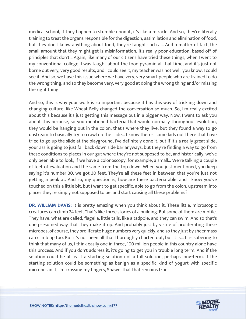medical school, if they happen to stumble upon it, it's like a miracle. And so, they're literally training to treat the organs responsible for the digestion, assimilation and elimination of food, but they don't know anything about food, they're taught such a... And a matter of fact, the small amount that they might get is misinformation, it's really poor education, based off of principles that don't... Again, like many of our citizens have tried these things, when I went to my conventional college, I was taught about the food pyramid at that time, and it's just not borne out very, very good results, and I could see it, my teacher was not well, you know, I could see it. And so, we have this issue where we have very, very smart people who are trained to do the wrong thing, and so they become very, very good at doing the wrong thing and/or missing the right thing.

And so, this is why your work is so important because it has this way of trickling down and changing culture, like Wheat Belly changed the conversation so much. So, I'm really excited about this because it's just getting this message out in a bigger way. Now, I want to ask you about this because, so you mentioned bacteria that would normally throughout evolution, they would be hanging out in the colon, that's where they live, but they found a way to go upstream to basically try to crawl up the slide... I know there's some kids out there that have tried to go up the slide at the playground, I've definitely done it, but if it's a really great slide, your ass is going to just fall back down side bar anyways, but they're finding a way to go from these conditions to places in our gut where they're not supposed to be, and historically, we've only been able to look, if we have a colonoscopy, for example, a small... We're talking a couple of feet of evaluation and the same from the top down. When you just mentioned, you keep saying it's number 30, we got 30 feet. They're all these feet in between that you're just not getting a peak at. And so, my question is, how are these bacteria able, and I know you've touched on this a little bit, but I want to get specific, able to go from the colon, upstream into places they're simply not supposed to be, and start causing all these problems?

**DR. WILLIAM DAVIS:** It is pretty amazing when you think about it. These little, microscopic creatures can climb 24 feet. That's like three stories of a building. But some of them are motile. They have, what are called, flagella, little tails, like a tadpole, and they can swim. And so that's one presumed way that they make it up. And probably just by virtue of proliferating these microbes, of course, they proliferate huge numbers very quickly, and so they just by sheer mass can climb up too. But it's not been all that thoroughly charted out, but it is... It is sobering to think that many of us, I think easily one in three, 100 million people in this country alone have this process. And if you don't address it, it's going to get you in trouble long term. And if the solution could be at least a starting solution not a full solution, perhaps long-term. If the starting solution could be something as benign as a specific kind of yogurt with specific microbes in it, I'm crossing my fingers, Shawn, that that remains true.

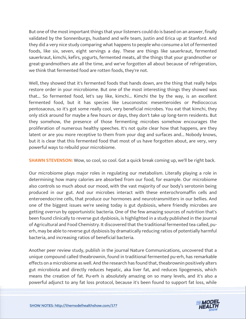But one of the most important things that your listeners could do is based on an answer, finally validated by the Sonnenburgs, husband and wife team, Justin and Erica up at Stanford. And they did a very nice study comparing what happens to people who consume a lot of fermented foods, like six, seven, eight servings a day. These are things like sauerkraut, fermented sauerkraut, kimchi, kefirs, yogurts, fermented meats, all the things that your grandmother or great-grandmothers ate all the time, and we've forgotten all about because of refrigeration, we think that fermented food are rotten foods, they're not.

Well, they showed that it's fermented foods that hands down, are the thing that really helps restore order in your microbiome. But one of the most interesting things they showed was that... So fermented food, let's say like, kimchi... Kimchi the by the way, is an excellent fermented food, but it has species like Leuconostoc mesenteroides or Pediococcus pentosaceus, so it's got some really cool, very beneficial microbes. You eat that kimchi, they only stick around for maybe a few hours or days, they don't take up long-term residents. But they somehow, the presence of those fermenting microbes somehow encourages the proliferation of numerous healthy speeches. It's not quite clear how that happens, are they latent or are you more receptive to them from your dog and surfaces and... Nobody knows, but it is clear that this fermented food that most of us have forgotten about, are very, very powerful ways to rebuild your microbiome.

**SHAWN STEVENSON:** Wow, so cool, so cool. Got a quick break coming up, we'll be right back.

Our microbiome plays major roles in regulating our metabolism. Literally playing a role in determining how many calories are absorbed from our food, for example. Our microbiome also controls so much about our mood, with the vast majority of our body's serotonin being produced in our gut. And our microbes interact with these enterochromaffin cells and enteroendocrine cells, that produce our hormones and neurotransmitters in our bellies. And one of the biggest issues we're seeing today is gut dysbiosis, where friendly microbes are getting overrun by opportunistic bacteria. One of the few amazing sources of nutrition that's been found clinically to reverse gut dysbiosis, is highlighted in a study published in the Journal of Agricultural and Food Chemistry. It discovered that the traditional fermented tea called, puerh, may be able to reverse gut dysbiosis by dramatically reducing ratios of potentially harmful bacteria, and increasing ratios of beneficial bacteria.

Another peer review study, publish in the journal Nature Communications, uncovered that a unique compound called theabrownin, found in traditional fermented pu-erh, has remarkable effects on a microbiome as well. And the research has found that, theabrownin positively alters gut microbiota and directly reduces hepatic, aka liver fat, and reduces lipogenesis, which means the creation of fat. Pu-erh is absolutely amazing on so many levels, and it's also a powerful adjunct to any fat loss protocol, because it's been found to support fat loss, while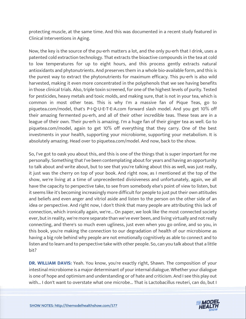protecting muscle, at the same time. And this was documented in a recent study featured in Clinical Interventions in Aging.

Now, the key is the source of the pu-erh matters a lot, and the only pu-erh that I drink, uses a patented cold extraction technology. That extracts the bioactive compounds in the tea at cold to low temperatures for up to eight hours, and this process gently extracts natural antioxidants and phytonutrients. And preserves them in a whole bio-available form, and this is the purest way to extract the phytonutrients for maximum efficacy. This pu-erh is also wild harvested, making it even more concentrated in the polyphenols that we see having benefits in those clinical trials. Also, triple toxin screened, for one of the highest levels of purity. Tested for pesticides, heavy metals and toxic molds, and making sure, that is not in your tea, which is common in most other teas. This is why I'm a massive fan of Pique Teas, go to piquetea.com/model, that's P-I-Q-U-E-T-E-A.com forward slash model. And you get 10% off their amazing fermented pu-erh, and all of their other incredible teas. These teas are in a league of their own. Their pu-erh is amazing. I'm a huge fan of their ginger tea as well. Go to piquetea.com/model, again to get 10% off everything that they carry. One of the best investments in your health, supporting your microbiome, supporting your metabolism. It is absolutely amazing. Head over to piquetea.com/model. And now, back to the show.

So, I've got to oask you about this, and this is one of the things that is super important for me personally. Something that I've been contemplating about for years and having an opportunity to talk about and write about, but to see that you're talking about this as well, was just really, it just was the cherry on top of your book. And right now, as I mentioned at the top of the show, we're living at a time of unprecedented divisiveness and unfortunately, again, we all have the capacity to perspective take, to see from somebody else's point of view to listen, but it seems like it's becoming increasingly more difficult for people to just put their own attitudes and beliefs and even anger and vitriol aside and listen to the person on the other side of an idea or perspective. And right now, I don't think that many people are attributing this lack of connection, which ironically again, we're... On paper, we look like the most connected society ever, but in reality, we're more separate than we've ever been, and living virtually and not really connecting, and there's so much even ugliness, just even when you go online, and so you, in this book, you're making the connection to our degradation of health of our microbiome as having a big role behind why people are not emotionally cognitively as able to connect and to listen and to learn and to perspective take with other people. So, can you talk about that a little bit?

**DR. WILLIAM DAVIS:** Yeah. You know, you're exactly right, Shawn. The composition of your intestinal microbiome is a major determinant of your internal dialogue. Whether your dialogue is one of hope and optimism and understanding or of hate and criticism. And I see this play out with... I don't want to overstate what one microbe... That is Lactobacillus reuteri, can do, but I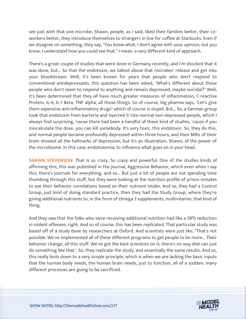see just with that one microbe, Shawn, people, as I said, liked their families better, their coworkers better, they introduce themselves to strangers in line for coffee at Starbucks. Even if we disagree on something, they say, "You know what, I don't agree with your opinion, but you know, I understand how you could see that." I mean, a very different kind of approach.

There's a great couple of studies that were done in Germany recently, and I'm shocked that it was done, but... So that the endotoxin, we talked about that microbes' release and get into your bloodstream. Well, it's been known for years that people who don't respond to conventional antidepressants, this question has been asked, "What's different about those people who don't seem to respond to anything and remain depressed, maybe suicidal?" Well, it's been determined that they all have much greater measures of inflammation, C-reactive Protein, IL-6, IL-1 Beta, TNF alpha, all those things. So of course, big pharma says, "Let's give them expensive anti-inflammatory drugs" which of course is stupid. But... So, a German group took that endotoxin from bacteria and injected it into normal non-depressed people, which I always find surprising, 'cause there had been a handful of these kind of studies, 'cause if you miscalculate the dose, you can kill somebody. It's very toxic, this endotoxin. So, they do this, and normal people became profoundly depressed within three hours, and then MRIs of their brain showed all the hallmarks of depression, but it's an illustration, Shawn, of the power of the microbiome. In this case, endotoxemia, to influence what goes on in your head.

**SHAWN STEVENSON:** That is so crazy. So crazy and powerful. One of the studies kinds of affirming this, this was published in the journal, Aggressive Behavior, which even when I say this, there's journals for everything, and so... But just a lot of people are not spending time thumbing through this stuff, but they were looking at the nutrition profile of prison inmates to see their behavior correlations based on their nutrient intake. And so, they had a Control Group, just kind of doing standard practice, then they had the Study Group, where they're giving additional nutrients to, in the form of Omega 3 supplements, multivitamin, that kind of thing.

And they saw that the folks who were receiving additional nutrition had like a 38% reduction in violent offenses, right. And so of course, this has been replicated. That particular study was based off of a study done by researchers at Oxford. And scientists were just like, "That's not possible. We've implemented all of these different programs to get people to be more... Their behavior change, all this stuff. We've got the best scientists on it; there's no way diet can just do something like that." So, they replicate the study, and essentially the same results. And so, this really boils down to a very simple principle, which is when we are lacking the basic inputs that the human body needs, the human brain needs, just to function, all of a sudden, many different processes are going to be sacrificed.

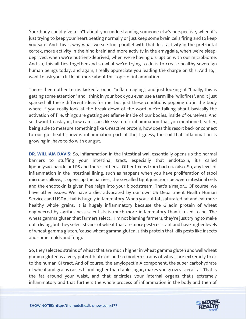Your body could give a sh\*t about you understanding someone else's perspective, when it's just trying to keep your heart beating normally or just keep some brain cells firing and to keep you safe. And this is why what we see too, parallel with that, less activity in the prefrontal cortex, more activity in the hind brain and more activity in the amygdala, when we're sleepdeprived, when we're nutrient-deprived, when we're having disruption with our microbiome. And so, this all ties together and so what we're trying to do is to create healthy sovereign human beings today, and again, I really appreciate you leading the charge on this. And so, I want to ask you a little bit more about this topic of inflammation.

There's been other terms kicked around, "inflammaging", and just looking at "finally, this is getting some attention" and I think in your book you even use a term like "wildfires", and it just sparked all these different ideas for me, but just these conditions popping up in the body where if you really look at the break down of the word, we're talking about basically the activation of fire, things are getting set aflame inside of our bodies, inside of ourselves. And so, I want to ask you, how can issues like systemic inflammation that you mentioned earlier, being able to measure something like C-reactive protein, how does this resort back or connect to our gut health, how is inflammation part of the, I guess, the soil that inflammation is growing in, have to do with our gut.

**DR. WILLIAM DAVIS:** So, inflammation in the intestinal wall essentially opens up the normal barriers to stuffing your intestinal tract, especially that endotoxin, it's called lipopolysaccharide or LPS and there's others... Other toxins from bacteria also. So, any level of inflammation in the intestinal lining, such as happens when you have proliferation of stool microbes allows, it opens up the barriers, the so-called tight junctions between intestinal cells and the endotoxin is given free reign into your bloodstream. That's a major... Of course, we have other issues. We have a diet advocated by our own US Department Health Human Services and USDA, that is hugely inflammatory. When you cut fat, saturated fat and eat more healthy whole grains, it is hugely inflammatory because the Gliadin protein of wheat engineered by agribusiness scientists is much more inflammatory than it used to be. The wheat gamma gluten that farmers select... I'm not blaming farmers, they're just trying to make out a living, but they select strains of wheat that are more pest-resistant and have higher levels of wheat gamma gluten, 'cause wheat gamma gluten is this protein that kills pests like insects and some molds and fungi.

So, they selected strains of wheat that are much higher in wheat gamma gluten and well wheat gamma gluten is a very potent biotoxin, and so modern strains of wheat are extremely toxic to the human GI tract. And of course, the amylopectin A component, the super carbohydrate of wheat and grains raises blood higher than table sugar, makes you grow visceral fat. That is the fat around your waist, and that encircles your internal organs that's extremely inflammatory and that furthers the whole process of inflammation in the body and then of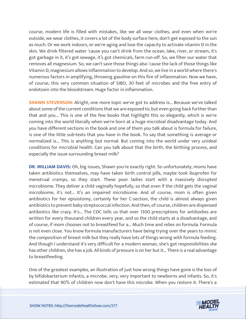course, modern life is filled with mistakes, like we all wear clothes, and even when we're outside, we wear clothes, it covers a lot of the body surface here, don't get exposed to the sun as much. Or we work indoors, or we're aging and lose the capacity to activate vitamin D in the skin. We drink filtered water 'cause you can't drink from the ocean, lake, river, or stream, it's got garbage in it, it's got sewage, it's got chemicals, farm run-off. So, we filter our water that removes all magnesium. So, we can't save those things also 'cause the lack of those things like Vitamin D, magnesium allows inflammation to develop. And so, we live in a world where there's numerous factors in amplifying, throwing gasoline on this fire of inflammation. Now we have, of course, this very common situation of SIBO, 30 feet of microbes and the free entry of endotoxin into the bloodstream. Huge factor in inflammation.

**SHAWN STEVENSON:** Alright, one more topic we've got to address is... Because we've talked about some of the current conditions that we are exposed to, but even going back further than that and you... This is one of the few books that highlight this so elegantly, which is we're coming into the world literally when we're born at a huge microbial disadvantage today. And you have different sections in the book and one of them you talk about is formula for failure, is one of the little sub-texts that you have in the book. To say that something is average or normalized is... This is anything but normal. But coming into the world under very unideal conditions for microbial health. Can you talk about that the birth, the birthing process, and especially the issue surrounding breast milk?

**DR. WILLIAM DAVIS:** Oh, big issues, Shawn you're exactly right. So unfortunately, moms have taken antibiotics themselves, may have taken birth control pills, maybe took ibuprofen for menstrual cramps, so they start. These poor ladies start with a massively disrupted microbiome. They deliver a child vaginally hopefully, so that even if the child gets the vaginal microbiome, it's not... It's an impaired microbiome. And of course, mom is often given antibiotics for her episiotomy, certainly for her C-section, the child is almost always given antibiotics to prevent baby streptococcal infection. And then, of course, children are dispensed antibiotics like crazy. It's... The CDC tells us that over 1300 prescriptions for antibodies are written for every thousand children every year, and so the child starts at a disadvantage, and of course, if mom chooses not to breastfeed for a... Much time and relies on formula. Formula is not even close. You know formula manufacturers have being trying over the years to mimic the composition of breast milk but they really have lots of things wrong with formula feeding. And though I understand it's very difficult for a modern woman, she's got responsibilities she has other children, she has a job. All kinds of pressure is on her but it... There is a real advantage to breastfeeding.

One of the greatest examples, an illustration of just how wrong things have gone is the loss of by bifidobacterium infantis, a microbe, very, very important to newborns and infants. So, it's estimated that 90% of children now don't have this microbe. When you restore it. There's a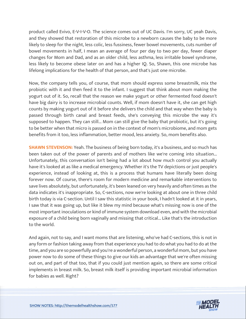product called Evivo, E-V-I-V-O. The science comes out of UC Davis. I'm sorry, UC yeah Davis, and they showed that restoration of this microbe to a newborn causes the baby to be more likely to sleep for the night, less colic, less fussiness, fewer bowel movements, cuts number of bowel movements in half, I mean an average of four per day to two per day, fewer diaper changes for Mom and Dad, and as an older child, less asthma, less irritable bowel syndrome, less likely to become obese later on and has a higher IQ. So, Shawn, this one microbe has lifelong implications for the health of that person, and that's just one microbe.

Now, the company tells you, of course, that mom should express some breastmilk, mix the probiotic with it and then feed it to the infant. I suggest that think about mom making the yogurt out of it. So, recall that the reason we make yogurt or other fermented food doesn't have big dairy is to increase microbial counts. Well, if mom doesn't have it, she can get high counts by making yogurt out of it before she delivers the child and that way when the baby is passed through birth canal and breast feeds, she's conveying this microbe the way it's supposed to happen. They can still... Mom can still give the baby that probiotic, but it's going to be better when that micro is passed on in the context of mom's microbiome, and mom gets benefits from it too, less inflammation, better mood, less anxiety. So, mom benefits also.

**SHAWN STEVENSON:** Yeah. The business of being born today, it's a business, and so much has been taken out of the power of parents and of mothers like we're coming into situation... Unfortunately, this conversation isn't being had a lot about how much control you actually have it's looked at as like a medical emergency. Whether it's the TV depictions or just people's experience, instead of looking at, this is a process that humans have literally been doing forever now. Of course, there's room for modern medicine and remarkable interventions to save lives absolutely, but unfortunately, it's been leaned on very heavily and often times as the data indicates it's inappropriate. So, C-sections, now we're looking at about one in three child birth today is via C-section. Until I saw this statistic in your book, I hadn't looked at it in years, I saw that it was going up, but like it blew my mind because what's missing now is one of the most important inoculations or kind of immune system download even, and with the microbial exposure of a child being born vaginally and missing that critical... Like that's the introduction to the world.

And again, not to say, and I want moms that are listening, who've had C-sections, this is not in any form or fashion taking away from that experience you had to do what you had to do at the time, and you are so powerfully and you're a wonderful person, a wonderful mom, but you have power now to do some of these things to give our kids an advantage that we're often missing out on, and part of that too, that if you could just mention again, so there are some critical implements in breast milk. So, breast milk itself is providing important microbial information for babies as well. Right?

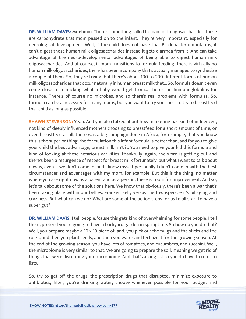**DR. WILLIAM DAVIS:** Mm-hmm. There's something called human milk oligosaccharides, these are carbohydrate that mom passed on to the infant. They're very important, especially for neurological development. Well, if the child does not have that Bifidobacterium infantis, it can't digest those human milk oligosaccharides instead it gets diarrhea from it. And can take advantage of the neuro-developmental advantages of being able to digest human milk oligosaccharides. And of course, if mom transitions to formula feeding, there is virtually no human milk oligosaccharides, there has been a company that's actually managed to synthesize a couple of them. So, they're trying, but there's about 100 to 200 different forms of human milk oligosaccharides that occur naturally in human breast milk that... So, formula doesn't even come close to mimicking what a baby would get from... There's no Immunoglobulins for instance. There's of course no microbes, and so there's real problems with formulas. So, formula can be a necessity for many moms, but you want to try your best to try to breastfeed that child as long as possible.

**SHAWN STEVENSON:** Yeah. And you also talked about how marketing has kind of influenced, not kind of deeply influenced mothers choosing to breastfeed for a short amount of time, or even breastfeed at all, there was a big campaign done in Africa, for example, that you know this is the superior thing, the formulation this infant formula is better than, and for you to give your child the best advantage, breast milk isn't it. You need to give your kid this formula and kind of looking at these nefarious activities, thankfully, again, the word is getting out and there's been a resurgence of respect for breast milk fortunately, but what I want to talk about now is, even if we don't come in, and I know myself personally I didn't come in with the best circumstances and advantages with my mom, for example. But this is the thing, no matter where you are right now as a parent and as a person, there is room for improvement. And so, let's talk about some of the solutions here. We know that obviously, there's been a war that's been taking place within our bellies. Franken Belly versus the townspeople it's pillaging and craziness. But what can we do? What are some of the action steps for us to all start to have a super gut?

**DR. WILLIAM DAVIS:** I tell people, 'cause this gets kind of overwhelming for some people. I tell them, pretend you're going to have a backyard garden in springtime. So how do you do that? Well, you prepare maybe a 10 x 10 piece of land, you pick out the twigs and the sticks and the rocks, and then you plant seeds, and then you water and fertilize it for the growing season. At the end of the growing season, you have lots of tomatoes, and cucumbers, and zucchini. Well, the microbiome is very similar to that. We are going to prepare the soil, meaning we get rid of things that were disrupting your microbiome. And that's a long list so you do have to refer to lists.

So, try to get off the drugs, the prescription drugs that disrupted, minimize exposure to antibiotics, filter, you're drinking water, choose whenever possible for your budget and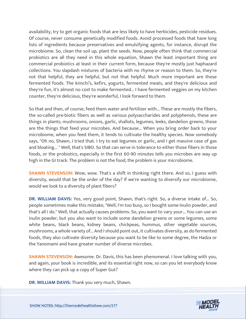availability, try to get organic foods that are less likely to have herbicides, pesticide residues. Of course, never consume genetically modified foods. Avoid processed foods that have long lists of ingredients because preservatives and emulsifying agents, for instance, disrupt the microbiome. So, clean the soil up, plant the seeds. Now, people often think that commercial probiotics are all they need in this whole equation, Shawn the least important thing are commercial probiotics at least in their current form, because they're mostly just haphazard collections. You slapdash mixtures of bacteria with no rhyme or reason to them. So, they're not that helpful, they are helpful, but not that helpful. Much more important are those fermented foods. The kimchi's, kefirs, yogurts, fermented meats, and they're delicious and they're fun, it's almost no cost to make fermented... I have fermented veggies on my kitchen counter, they're delicious, they're wonderful, I look forward to them.

So that and then, of course, feed them water and fertilizer with... These are mostly the fibers, the so-called pre-biotic fibers as well as various polysaccharides and polyphenols, these are things in plants; mushrooms, onions, garlic, shallots, legumes, leeks, dandelion greens, those are the things that feed your microbes. And because... When you bring order back to your microbiome, when you feed them, it tends to cultivate the healthy species. Now somebody says, "Oh no, Shawn, I tried that. I try to eat legumes or garlic, and I get massive case of gas and bloating... " Well, that's SIBO. So that can serve in tolerance to either those fibers in those foods, or the probiotics, especially in the first 60-90 minutes tells you microbes are way up high in the GI track. The problem is not the food, the problem is your microbiome.

**SHAWN STEVENSON:** Wow, wow. That's a shift in thinking right there. And so, I guess with diversity, would that be the order of the day? If we're wanting to diversify our microbiome, would we look to a diversity of plant fibers?

**DR. WILLIAM DAVIS:** Yes, very good point, Shawn, that's right. So, a diverse intake of... So, people sometimes make this mistake, "Well, I'm too busy, so I bought some Inulin powder, and that's all I do." Well, that actually causes problems. So, you want to vary your... You can use an inulin powder, but you also want to include some dandelion greens or some legumes, some white beans, black beans, kidney beans, chickpeas, hummus, other vegetable sources, mushrooms, a whole variety of... And I should point out, it cultivates diversity, as do fermented foods, they also cultivate diversity because you want to be like to some degree, the Hadza or the Yanomami and have greater number of diverse microbes.

**SHAWN STEVENSON:** Awesome. Dr. Davis, this has been phenomenal. I love talking with you, and again, your book is incredible, and its essential right now, so can you let everybody know where they can pick up a copy of Super Gut?

**DR. WILLIAM DAVIS:** Thank you very much, Shawn.